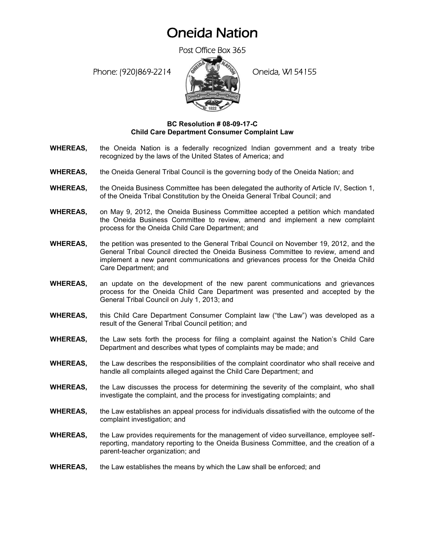## Oneida Nation

Post Office Box 365

Phone: (920)869-2214 (Oneida, WI 54155



## **BC Resolution # 08-09-17-C Child Care Department Consumer Complaint Law**

- **WHEREAS,** the Oneida Nation is a federally recognized Indian government and a treaty tribe recognized by the laws of the United States of America; and
- **WHEREAS,** the Oneida General Tribal Council is the governing body of the Oneida Nation; and
- **WHEREAS,** the Oneida Business Committee has been delegated the authority of Article IV, Section 1, of the Oneida Tribal Constitution by the Oneida General Tribal Council; and
- **WHEREAS,** on May 9, 2012, the Oneida Business Committee accepted a petition which mandated the Oneida Business Committee to review, amend and implement a new complaint process for the Oneida Child Care Department; and
- **WHEREAS,** the petition was presented to the General Tribal Council on November 19, 2012, and the General Tribal Council directed the Oneida Business Committee to review, amend and implement a new parent communications and grievances process for the Oneida Child Care Department; and
- **WHEREAS,** an update on the development of the new parent communications and grievances process for the Oneida Child Care Department was presented and accepted by the General Tribal Council on July 1, 2013; and
- **WHEREAS,** this Child Care Department Consumer Complaint law ("the Law") was developed as a result of the General Tribal Council petition; and
- **WHEREAS,** the Law sets forth the process for filing a complaint against the Nation's Child Care Department and describes what types of complaints may be made; and
- **WHEREAS,** the Law describes the responsibilities of the complaint coordinator who shall receive and handle all complaints alleged against the Child Care Department; and
- **WHEREAS,** the Law discusses the process for determining the severity of the complaint, who shall investigate the complaint, and the process for investigating complaints; and
- **WHEREAS,** the Law establishes an appeal process for individuals dissatisfied with the outcome of the complaint investigation; and
- **WHEREAS,** the Law provides requirements for the management of video surveillance, employee selfreporting, mandatory reporting to the Oneida Business Committee, and the creation of a parent-teacher organization; and
- **WHEREAS,** the Law establishes the means by which the Law shall be enforced; and